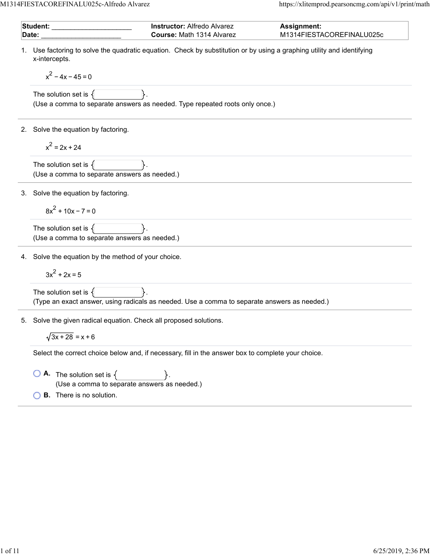M1314FIESTACOREFINALU025c-Alfredo Alvarez https://xlitemprod.pearsoncmg.com/api/v1/print/math

|       | Student:<br><b>Instructor: Alfredo Alvarez</b><br><b>Assignment:</b>                                                                                        |
|-------|-------------------------------------------------------------------------------------------------------------------------------------------------------------|
| Date: | Course: Math 1314 Alvarez<br>M1314FIESTACOREFINALU025c                                                                                                      |
| 1.    | Use factoring to solve the quadratic equation. Check by substitution or by using a graphing utility and identifying<br>x-intercepts.<br>$x^2 - 4x - 45 = 0$ |
|       | The solution set is $\{$<br>(Use a comma to separate answers as needed. Type repeated roots only once.)                                                     |
| 2.    | Solve the equation by factoring.                                                                                                                            |
|       | $x^2 = 2x + 24$                                                                                                                                             |
|       | The solution set is $\{$<br>(Use a comma to separate answers as needed.)                                                                                    |
|       | 3. Solve the equation by factoring.                                                                                                                         |
|       | $8x^{2}$ + 10x - 7 = 0                                                                                                                                      |
|       | The solution set is $\{$<br>(Use a comma to separate answers as needed.)                                                                                    |
|       | 4. Solve the equation by the method of your choice.                                                                                                         |
|       | $3x^2 + 2x = 5$                                                                                                                                             |
|       | The solution set is $\{$<br>(Type an exact answer, using radicals as needed. Use a comma to separate answers as needed.)                                    |
| 5.    | Solve the given radical equation. Check all proposed solutions.                                                                                             |
|       | $\sqrt{3x + 28} = x + 6$                                                                                                                                    |
|       | Select the correct choice below and, if necessary, fill in the answer box to complete your choice.                                                          |
|       | <b>A.</b> The solution set is $\{$<br>(Use a comma to separate answers as needed.)                                                                          |
|       | <b>B.</b> There is no solution.                                                                                                                             |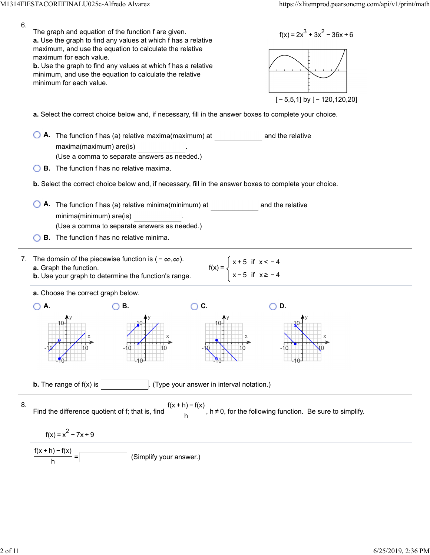| 6. | The graph and equation of the function f are given.<br>$f(x) = 2x^3 + 3x^2 - 36x + 6$<br>a. Use the graph to find any values at which f has a relative<br>maximum, and use the equation to calculate the relative<br>maximum for each value.<br><b>b.</b> Use the graph to find any values at which f has a relative<br>minimum, and use the equation to calculate the relative<br>minimum for each value.<br>$[-5,5,1]$ by $[-120,120,20]$ |  |  |  |  |
|----|---------------------------------------------------------------------------------------------------------------------------------------------------------------------------------------------------------------------------------------------------------------------------------------------------------------------------------------------------------------------------------------------------------------------------------------------|--|--|--|--|
|    | a. Select the correct choice below and, if necessary, fill in the answer boxes to complete your choice.                                                                                                                                                                                                                                                                                                                                     |  |  |  |  |
|    | A. The function f has (a) relative maxima(maximum) at<br>and the relative<br>maxima(maximum) are(is)<br>(Use a comma to separate answers as needed.)                                                                                                                                                                                                                                                                                        |  |  |  |  |
|    | <b>B.</b> The function f has no relative maxima.                                                                                                                                                                                                                                                                                                                                                                                            |  |  |  |  |
|    | b. Select the correct choice below and, if necessary, fill in the answer boxes to complete your choice.                                                                                                                                                                                                                                                                                                                                     |  |  |  |  |
|    | A. The function f has (a) relative minima(minimum) at<br>and the relative<br>minima(minimum) are(is)<br>(Use a comma to separate answers as needed.)                                                                                                                                                                                                                                                                                        |  |  |  |  |
|    | <b>B.</b> The function f has no relative minima.                                                                                                                                                                                                                                                                                                                                                                                            |  |  |  |  |
| 7. | The domain of the piecewise function is $(-\infty,\infty)$ .<br>$f(x) = \begin{cases} x + 5 & \text{if } x < -4 \\ x - 5 & \text{if } x \ge -4 \end{cases}$<br>a. Graph the function.<br><b>b.</b> Use your graph to determine the function's range.                                                                                                                                                                                        |  |  |  |  |
|    | a. Choose the correct graph below.                                                                                                                                                                                                                                                                                                                                                                                                          |  |  |  |  |
|    | C.<br>A.<br>В.<br>D.                                                                                                                                                                                                                                                                                                                                                                                                                        |  |  |  |  |
|    |                                                                                                                                                                                                                                                                                                                                                                                                                                             |  |  |  |  |
|    | <b>b.</b> The range of $f(x)$ is<br>(Type your answer in interval notation.)                                                                                                                                                                                                                                                                                                                                                                |  |  |  |  |
| 8. | Find the difference quotient of f; that is, find $\frac{f(x+h)-f(x)}{h}$ , h $\neq$ 0, for the following function. Be sure to simplify.                                                                                                                                                                                                                                                                                                     |  |  |  |  |
|    | $f(x) = x^2 - 7x + 9$                                                                                                                                                                                                                                                                                                                                                                                                                       |  |  |  |  |
|    | (Simplify your answer.)                                                                                                                                                                                                                                                                                                                                                                                                                     |  |  |  |  |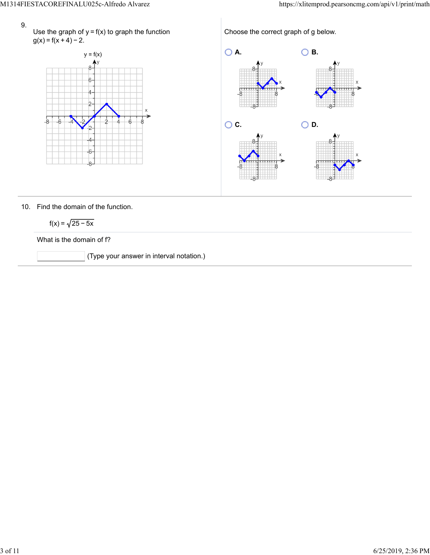- 9.
- Use the graph of  $y = f(x)$  to graph the function  $g(x) = f(x + 4) - 2$ .



Choose the correct graph of g below. **A. B. C.** ○ **C.** ○ **D.** 

## 10. Find the domain of the function.

$$
f(x) = \sqrt{25 - 5x}
$$

What is the domain of f?

(Type your answer in interval notation.)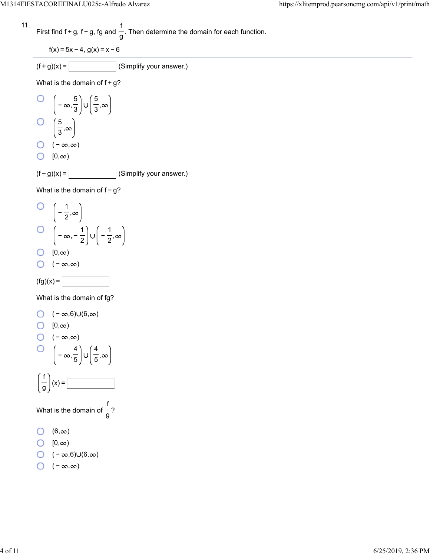11. First find 
$$
f + g
$$
,  $f - g$ ,  $fg$  and  $\frac{f}{g}$ . Then determine the domain for each function.

$$
f(x) = 5x - 4, g(x) = x - 6
$$

$$
(f+g)(x) = \boxed{\qquad \qquad} \text{(Simplify your answer.)}
$$

What is the domain of  $f+g$ ?

O 
$$
\left(-\infty, \frac{5}{3}\right) \cup \left(\frac{5}{3}, \infty\right)
$$
  
O  $\left(\frac{5}{3}, \infty\right)$   
O  $\left(-\infty, \infty\right)$   
O  $\left(0, \infty\right)$   
(f - g)(x) = \_\_\_\_\_\_ (Simplify your answer.)

Ξ

What is the domain of  $f-g$ ?

O 
$$
\left(-\frac{1}{2}, \infty\right)
$$
  
O  $\left(-\infty, -\frac{1}{2}\right) \cup \left(-\frac{1}{2}, \infty\right)$   
O  $\left[0, \infty\right)$   
O  $\left(-\infty, \infty\right)$ 

$$
(\text{fg})(x) =
$$

What is the domain of fg?

O 
$$
(-\infty,6)\cup(6,\infty)
$$
  
\nO  $[0,\infty)$   
\nO  $(-\infty,\infty)$   
\nO  $\left(-\infty,\frac{4}{5}\right)\cup\left(\frac{4}{5},\infty\right)$   
\n $\left(\frac{f}{g}\right)(x) =$   
\nWhat is the domain of  $\frac{f}{g}$ ?  
\nO  $(6,\infty)$   
\nO  $[0,\infty)$   
\nO  $(-\infty,6)\cup(6,\infty)$   
\nO  $(-\infty,\infty)$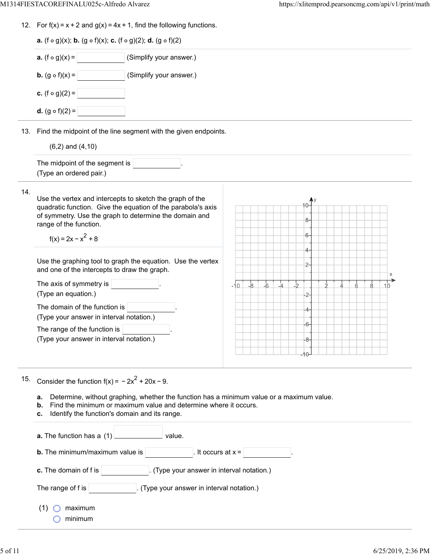12. For  $f(x) = x + 2$  and  $g(x) = 4x + 1$ , find the following functions.

|     | <b>a.</b> (f $\circ$ g)(x); <b>b.</b> (g $\circ$ f)(x); <b>c.</b> (f $\circ$ g)(2); <b>d.</b> (g $\circ$ f)(2)                                                                                                                        |                                                                 |  |  |  |  |  |
|-----|---------------------------------------------------------------------------------------------------------------------------------------------------------------------------------------------------------------------------------------|-----------------------------------------------------------------|--|--|--|--|--|
|     | (Simplify your answer.)<br><b>a.</b> $(f \circ g)(x) =$                                                                                                                                                                               |                                                                 |  |  |  |  |  |
|     | <b>b.</b> $(g \circ f)(x) =$<br>(Simplify your answer.)                                                                                                                                                                               |                                                                 |  |  |  |  |  |
|     | <b>c.</b> (f $\circ$ g)(2) =                                                                                                                                                                                                          |                                                                 |  |  |  |  |  |
|     | <b>d.</b> $(g \circ f)(2) =$                                                                                                                                                                                                          |                                                                 |  |  |  |  |  |
|     | 13. Find the midpoint of the line segment with the given endpoints.                                                                                                                                                                   |                                                                 |  |  |  |  |  |
|     | $(6,2)$ and $(4,10)$                                                                                                                                                                                                                  |                                                                 |  |  |  |  |  |
|     | The midpoint of the segment is<br>(Type an ordered pair.)                                                                                                                                                                             |                                                                 |  |  |  |  |  |
| 14. | Use the vertex and intercepts to sketch the graph of the<br>quadratic function. Give the equation of the parabola's axis<br>of symmetry. Use the graph to determine the domain and<br>range of the function.<br>$f(x) = 2x - x^2 + 8$ | 8-<br>6-                                                        |  |  |  |  |  |
|     |                                                                                                                                                                                                                                       | 4-                                                              |  |  |  |  |  |
|     | Use the graphing tool to graph the equation. Use the vertex<br>and one of the intercepts to draw the graph.                                                                                                                           | $2-$<br>X                                                       |  |  |  |  |  |
|     | The axis of symmetry is<br>(Type an equation.)                                                                                                                                                                                        | $-6$<br>$\frac{1}{2}$<br>$-8$<br>$-4$<br>$-10$<br>ή,<br>8<br>10 |  |  |  |  |  |
|     | The domain of the function is<br>(Type your answer in interval notation.)                                                                                                                                                             |                                                                 |  |  |  |  |  |
|     | The range of the function is<br>(Type your answer in interval notation.)                                                                                                                                                              | -6<br>-8-                                                       |  |  |  |  |  |
| 15. | Consider the function $f(x) = -2x^2 + 20x - 9$ .                                                                                                                                                                                      |                                                                 |  |  |  |  |  |
|     | Determine, without graphing, whether the function has a minimum value or a maximum value.<br>a.<br>Find the minimum or maximum value and determine where it occurs.<br>b.<br>Identify the function's domain and its range.<br>с.      |                                                                 |  |  |  |  |  |
|     | value.<br>a. The function has a (1)                                                                                                                                                                                                   |                                                                 |  |  |  |  |  |
|     | <b>b.</b> The minimum/maximum value is<br>It occurs at $x =$                                                                                                                                                                          |                                                                 |  |  |  |  |  |
|     | (Type your answer in interval notation.)<br>c. The domain of f is                                                                                                                                                                     |                                                                 |  |  |  |  |  |
|     | The range of f is<br>(Type your answer in interval notation.)                                                                                                                                                                         |                                                                 |  |  |  |  |  |
|     | (1)<br>maximum<br>minimum                                                                                                                                                                                                             |                                                                 |  |  |  |  |  |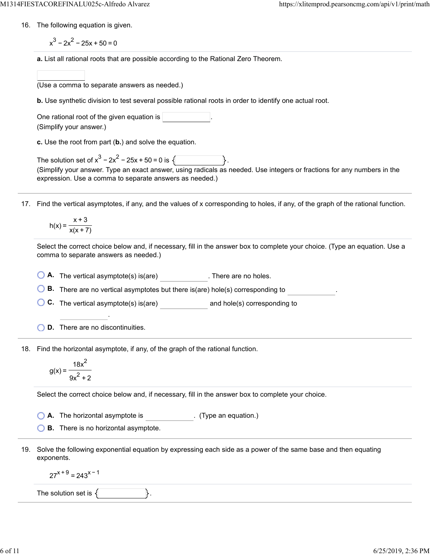16. The following equation is given.

 $x^3 - 2x^2 - 25x + 50 = 0$ 

**a.** List all rational roots that are possible according to the Rational Zero Theorem.

| (Use a comma to separate answers as needed.) |  |  |  |
|----------------------------------------------|--|--|--|
|                                              |  |  |  |

**b.** Use synthetic division to test several possible rational roots in order to identify one actual root.

One rational root of the given equation is (Simplify your answer.)

**c.** Use the root from part (**b.**) and solve the equation.

The solution set of  $x^3 - 2x^2 - 25x + 50 = 0$  is  $\sqrt{2}$ (Simplify your answer. Type an exact answer, using radicals as needed. Use integers or fractions for any numbers in the expression. Use a comma to separate answers as needed.)

17. Find the vertical asymptotes, if any, and the values of x corresponding to holes, if any, of the graph of the rational function.

$$
h(x) = \frac{x+3}{x(x+7)}
$$

Select the correct choice below and, if necessary, fill in the answer box to complete your choice. (Type an equation. Use a comma to separate answers as needed.)

**A.** The vertical asymptote(s) is(are) . There are no holes.

**B.** There are no vertical asymptotes but there is(are) hole(s) corresponding to .

**C.** The vertical asymptote(s) is(are) **and hole(s)** corresponding to

.

18. Find the horizontal asymptote, if any, of the graph of the rational function.

$$
g(x) = \frac{18x^2}{9x^2 + 2}
$$

Select the correct choice below and, if necessary, fill in the answer box to complete your choice.

**A.** The horizontal asymptote is . (Type an equation.)

**B.** There is no horizontal asymptote.

19. Solve the following exponential equation by expressing each side as a power of the same base and then equating exponents.

 $27^{x+9}$  = 243<sup>x-1</sup>

The solution set is  $\{\vert$   $\vert$   $\vert$ .

**D.** There are no discontinuities.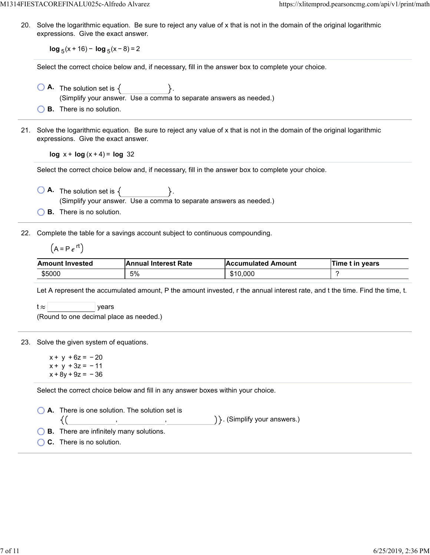20. Solve the logarithmic equation. Be sure to reject any value of x that is not in the domain of the original logarithmic expressions. Give the exact answer.

**log**  $_5$ (x + 16) − **log**  $_5$ (x − 8) = 2

Select the correct choice below and, if necessary, fill in the answer box to complete your choice.

- $\overline{O}$  **A.** The solution set is  $\{$ (Simplify your answer. Use a comma to separate answers as needed.)
- **B.** There is no solution.
- 21. Solve the logarithmic equation. Be sure to reject any value of x that is not in the domain of the original logarithmic expressions. Give the exact answer.

**log**  $x + \log(x + 4) = \log 32$ 

Select the correct choice below and, if necessary, fill in the answer box to complete your choice.

 $\overline{A}$ . The solution set is  $\{$ (Simplify your answer. Use a comma to separate answers as needed.)

**B.** There is no solution.

22. Complete the table for a savings account subject to continuous compounding.

$$
(A = P e^{rt})
$$

| <b>Amount Invested</b> | <b>Annual Interest Rate</b> | <b>Accumulated Amount</b> | Time t in vears |
|------------------------|-----------------------------|---------------------------|-----------------|
| \$5000                 | 5%                          | \$10,000                  |                 |

Let A represent the accumulated amount, P the amount invested, r the annual interest rate, and t the time. Find the time, t.

 $t \approx$  | years

(Round to one decimal place as needed.)

## 23. Solve the given system of equations.

 $x + y + 6z = -20$  $x + y + 3z = -11$  $x + 8y + 9z = -36$ 

Select the correct choice below and fill in any answer boxes within your choice.

**A.** There is one solution. The solution set is  $\{()$ , , . (Simplify your answers.) **B.** There are infinitely many solutions. **C.** There is no solution.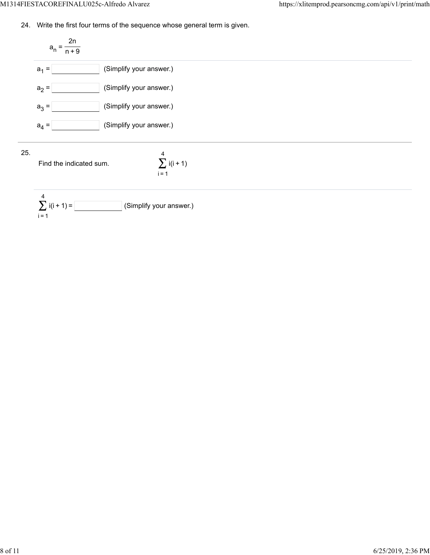24. Write the first four terms of the sequence whose general term is given.

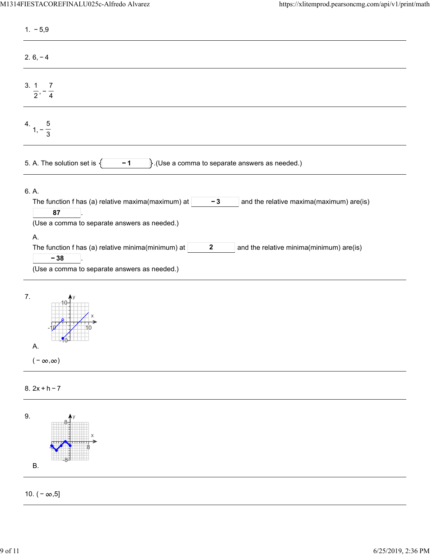| $1. -5,9$                                                                                                                                                                                                                                                                                                                                                  |
|------------------------------------------------------------------------------------------------------------------------------------------------------------------------------------------------------------------------------------------------------------------------------------------------------------------------------------------------------------|
| $2.6, -4$                                                                                                                                                                                                                                                                                                                                                  |
| 3.1<br>$\overline{7}$<br>$\frac{1}{2}$ , $\frac{1}{4}$                                                                                                                                                                                                                                                                                                     |
| 4.<br>$1, -\frac{5}{3}$                                                                                                                                                                                                                                                                                                                                    |
| $\}$ . (Use a comma to separate answers as needed.)<br>5. A. The solution set is $\{$<br>$-1$                                                                                                                                                                                                                                                              |
| 6. A.<br>The function f has (a) relative maxima(maximum) at<br>$-3$<br>and the relative maxima(maximum) are(is)<br>87<br>(Use a comma to separate answers as needed.)<br>Α.<br>The function f has (a) relative minima(minimum) at<br>and the relative minima(minimum) are(is)<br>$\boldsymbol{2}$<br>$-38$<br>(Use a comma to separate answers as needed.) |
| 7.<br>$\frac{1}{20}$<br>Α.<br>$(-\infty,\infty)$                                                                                                                                                                                                                                                                                                           |
| $8.2x + h - 7$                                                                                                                                                                                                                                                                                                                                             |

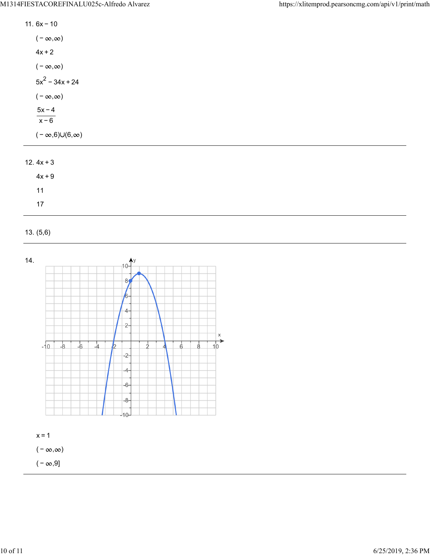| 11. $6x - 10$                 |
|-------------------------------|
| $(-\infty,\infty)$            |
| $4x + 2$                      |
| $(-\infty,\infty)$            |
| $5x^2 - 34x + 24$             |
| $(-\infty,\infty)$            |
| $5x - 4$<br>$x - 6$           |
| $(-\infty,6) \cup (6,\infty)$ |
|                               |

## 12.  $4x + 3$

| $4x + 9$ |  |  |
|----------|--|--|
| 11       |  |  |
| 17       |  |  |

## 13. (5,6)